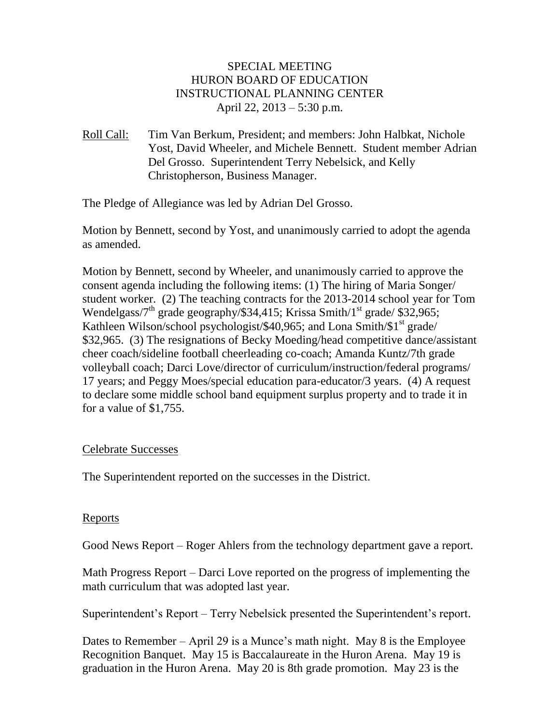## SPECIAL MEETING HURON BOARD OF EDUCATION INSTRUCTIONAL PLANNING CENTER April 22, 2013 – 5:30 p.m.

Roll Call: Tim Van Berkum, President; and members: John Halbkat, Nichole Yost, David Wheeler, and Michele Bennett. Student member Adrian Del Grosso. Superintendent Terry Nebelsick, and Kelly Christopherson, Business Manager.

The Pledge of Allegiance was led by Adrian Del Grosso.

Motion by Bennett, second by Yost, and unanimously carried to adopt the agenda as amended.

Motion by Bennett, second by Wheeler, and unanimously carried to approve the consent agenda including the following items: (1) The hiring of Maria Songer/ student worker. (2) The teaching contracts for the 2013-2014 school year for Tom Wendelgass/7<sup>th</sup> grade geography/\$34,415; Krissa Smith/1<sup>st</sup> grade/ \$32,965; Kathleen Wilson/school psychologist/\$40,965; and Lona Smith/ $$1<sup>st</sup>$  grade/ \$32,965. (3) The resignations of Becky Moeding/head competitive dance/assistant cheer coach/sideline football cheerleading co-coach; Amanda Kuntz/7th grade volleyball coach; Darci Love/director of curriculum/instruction/federal programs/ 17 years; and Peggy Moes/special education para-educator/3 years. (4) A request to declare some middle school band equipment surplus property and to trade it in for a value of \$1,755.

## Celebrate Successes

The Superintendent reported on the successes in the District.

## Reports

Good News Report – Roger Ahlers from the technology department gave a report.

Math Progress Report – Darci Love reported on the progress of implementing the math curriculum that was adopted last year.

Superintendent's Report – Terry Nebelsick presented the Superintendent's report.

Dates to Remember – April 29 is a Munce's math night. May 8 is the Employee Recognition Banquet. May 15 is Baccalaureate in the Huron Arena. May 19 is graduation in the Huron Arena. May 20 is 8th grade promotion. May 23 is the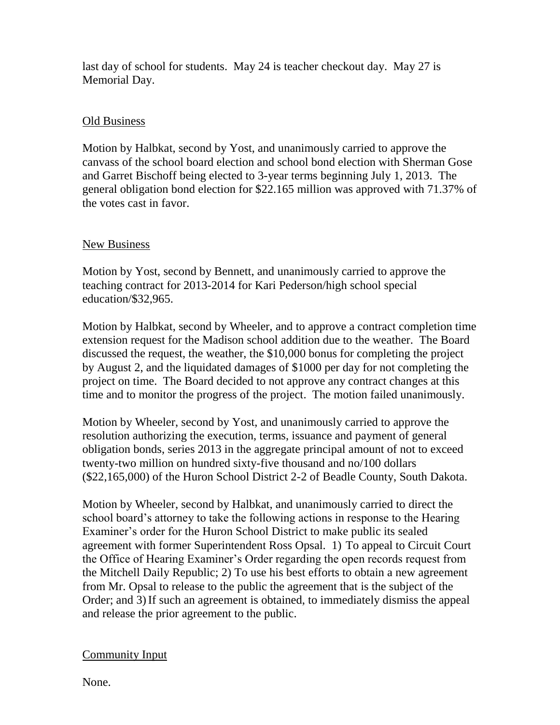last day of school for students. May 24 is teacher checkout day. May 27 is Memorial Day.

# Old Business

Motion by Halbkat, second by Yost, and unanimously carried to approve the canvass of the school board election and school bond election with Sherman Gose and Garret Bischoff being elected to 3-year terms beginning July 1, 2013. The general obligation bond election for \$22.165 million was approved with 71.37% of the votes cast in favor.

## New Business

Motion by Yost, second by Bennett, and unanimously carried to approve the teaching contract for 2013-2014 for Kari Pederson/high school special education/\$32,965.

Motion by Halbkat, second by Wheeler, and to approve a contract completion time extension request for the Madison school addition due to the weather. The Board discussed the request, the weather, the \$10,000 bonus for completing the project by August 2, and the liquidated damages of \$1000 per day for not completing the project on time. The Board decided to not approve any contract changes at this time and to monitor the progress of the project. The motion failed unanimously.

Motion by Wheeler, second by Yost, and unanimously carried to approve the resolution authorizing the execution, terms, issuance and payment of general obligation bonds, series 2013 in the aggregate principal amount of not to exceed twenty-two million on hundred sixty-five thousand and no/100 dollars (\$22,165,000) of the Huron School District 2-2 of Beadle County, South Dakota.

Motion by Wheeler, second by Halbkat, and unanimously carried to direct the school board's attorney to take the following actions in response to the Hearing Examiner's order for the Huron School District to make public its sealed agreement with former Superintendent Ross Opsal. 1) To appeal to Circuit Court the Office of Hearing Examiner's Order regarding the open records request from the Mitchell Daily Republic; 2) To use his best efforts to obtain a new agreement from Mr. Opsal to release to the public the agreement that is the subject of the Order; and 3)If such an agreement is obtained, to immediately dismiss the appeal and release the prior agreement to the public.

## Community Input

None.